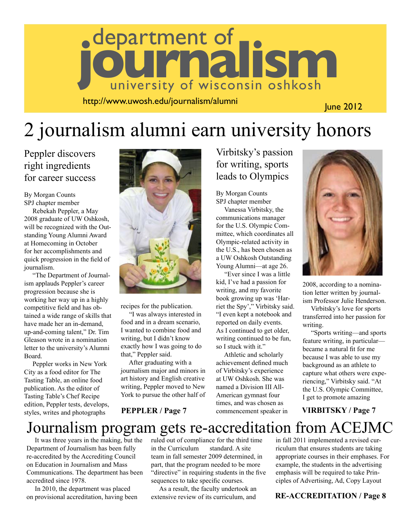

http://www.uwosh.edu/journalism/alumni

June 2012

## 2 journalism alumni earn university honors

Peppler discovers right ingredients for career success

By Morgan Counts SPJ chapter member

 Rebekah Peppler, a May 2008 graduate of UW Oshkosh, will be recognized with the Outstanding Young Alumni Award at Homecoming in October for her accomplishments and quick progression in the field of journalism.

 "The Department of Journalism applauds Peppler's career progression because she is working her way up in a highly competitive field and has obtained a wide range of skills that have made her an in-demand, up-and-coming talent," Dr. Tim Gleason wrote in a nomination letter to the university's Alumni Board.

 Peppler works in New York City as a food editor for The Tasting Table, an online food publication. As the editor of Tasting Table's Chef Recipe edition, Peppler tests, develops, styles, writes and photographs



recipes for the publication.

 "I was always interested in food and in a dream scenario, I wanted to combine food and writing, but I didn't know exactly how I was going to do that," Peppler said.

 After graduating with a journalism major and minors in art history and English creative writing, Peppler moved to New York to pursue the other half of

Virbitsky's passion for writing, sports leads to Olympics

By Morgan Counts SPJ chapter member

 Vanessa Virbitsky, the communications manager for the U.S. Olympic Committee, which coordinates all Olympic-related activity in the U.S., has been chosen as a UW Oshkosh Outstanding Young Alumni—at age 26.

 "Ever since I was a little kid, I've had a passion for writing, and my favorite book growing up was 'Harriet the Spy'," Virbitsky said. "I even kept a notebook and reported on daily events. As I continued to get older, writing continued to be fun, so I stuck with it."

 Athletic and scholarly achievement defined much of Virbitsky's experience at UW Oshkosh. She was named a Division III All-American gymnast four times, and was chosen as commencement speaker in **PEPPLER / Page 7 commencement speaker in VIRBITSKY / Page 7** 



2008, according to a nomination letter written by journalism Professor Julie Henderson.

 Virbitsky's love for sports transferred into her passion for writing.

 "Sports writing—and sports feature writing, in particular became a natural fit for me because I was able to use my background as an athlete to capture what others were experiencing," Virbitsky said. "At the U.S. Olympic Committee, I get to promote amazing

### Journalism program gets re-accreditation from ACEJMC

 It was three years in the making, but the Department of Journalism has been fully re-accredited by the Accrediting Council on Education in Journalism and Mass Communications. The department has been accredited since 1978.

 In 2010, the department was placed on provisional accreditation, having been ruled out of compliance for the third time in the Curriculum standard. A site team in fall semester 2009 determined, in part, that the program needed to be more "directive" in requiring students in the five sequences to take specific courses.

 As a result, the faculty undertook an extensive review of its curriculum, and

in fall 2011 implemented a revised curriculum that ensures students are taking appropriate courses in their emphases. For example, the students in the advertising emphasis will be required to take Principles of Advertising, Ad, Copy Layout

#### **RE-ACCREDITATION / Page 8**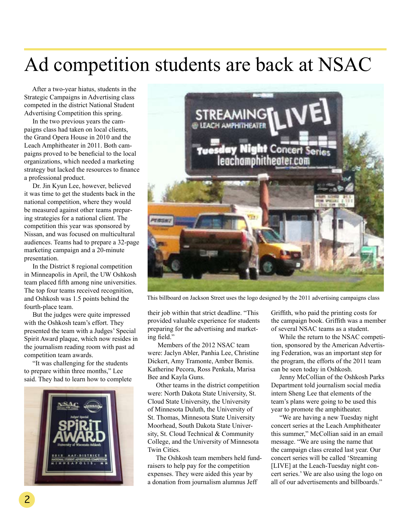## Ad competition students are back at NSAC

 After a two-year hiatus, students in the Strategic Campaigns in Advertising class competed in the district National Student Advertising Competition this spring.

 In the two previous years the campaigns class had taken on local clients, the Grand Opera House in 2010 and the Leach Amphitheater in 2011. Both campaigns proved to be beneficial to the local organizations, which needed a marketing strategy but lacked the resources to finance a professional product.

 Dr. Jin Kyun Lee, however, believed it was time to get the students back in the national competition, where they would be measured against other teams preparing strategies for a national client. The competition this year was sponsored by Nissan, and was focused on multicultural audiences. Teams had to prepare a 32-page marketing campaign and a 20-minute presentation.

 In the District 8 regional competition in Minneapolis in April, the UW Oshkosh team placed fifth among nine universities. The top four teams received recognition, and Oshkosh was 1.5 points behind the fourth-place team.

 But the judges were quite impressed with the Oshkosh team's effort. They presented the team with a Judges' Special Spirit Award plaque, which now resides in the journalism reading room with past ad competition team awards.

 "It was challenging for the students to prepare within three months," Lee said. They had to learn how to complete





This billboard on Jackson Street uses the logo designed by the 2011 advertising campaigns class

their job within that strict deadline. "This provided valuable experience for students preparing for the advertising and marketing field."

 Members of the 2012 NSAC team were: Jaclyn Abler, Panhia Lee, Christine Dickert, Amy Tramonte, Amber Bemis. Katherine Pecora, Ross Penkala, Marisa Bee and Kayla Guns.

 Other teams in the district competition were: North Dakota State University, St. Cloud State University, the University of Minnesota Duluth, the University of St. Thomas, Minnesota State University Moorhead, South Dakota State University, St. Cloud Technical & Community College, and the University of Minnesota Twin Cities.

 The Oshkosh team members held fundraisers to help pay for the competition expenses. They were aided this year by a donation from journalism alumnus Jeff

Griffith, who paid the printing costs for the campaign book. Griffith was a member of several NSAC teams as a student.

 While the return to the NSAC competition, sponsored by the American Advertising Federation, was an important step for the program, the efforts of the 2011 team can be seen today in Oshkosh.

 Jenny McCollian of the Oshkosh Parks Department told journalism social media intern Sheng Lee that elements of the team's plans were going to be used this year to promote the amphitheater.

 "We are having a new Tuesday night concert series at the Leach Amphitheater this summer," McCollian said in an email message. "We are using the name that the campaign class created last year. Our concert series will be called 'Streaming [LIVE] at the Leach-Tuesday night concert series.' We are also using the logo on all of our advertisements and billboards."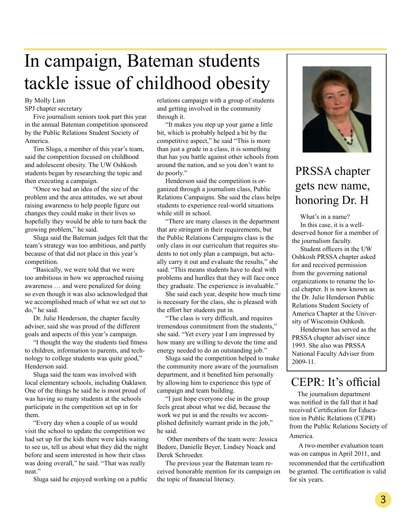## In campaign, Bateman students tackle issue of childhood obesity

#### By Molly Linn

SPJ chapter secretary

 Five journalism seniors took part this year in the annual Bateman competition sponsored by the Public Relations Student Society of America.

 Tim Sluga, a member of this year's team, said the competition focused on childhood and adolescent obesity. The UW Oshkosh students began by researching the topic and then executing a campaign.

 "Once we had an idea of the size of the problem and the area attitudes, we set about raising awareness to help people figure out changes they could make in their lives so hopefully they would be able to turn back the growing problem," he said.

 Sluga said the Bateman judges felt that the team's strategy was too ambitious, and partly because of that did not place in this year's competition.

 "Basically, we were told that we were too ambitious in how we approached raising awareness … and were penalized for doing so even though it was also acknowledged that we accomplished much of what we set out to do," he said.

 Dr. Julie Henderson, the chapter faculty adviser, said she was proud of the different goals and aspects of this year's campaign.

 "I thought the way the students tied fitness to children, information to parents, and technology to college students was quite good," Henderson said.

 Sluga said the team was involved with local elementary schools, including Oaklawn. One of the things he said he is most proud of was having so many students at the schools participate in the competition set up in for them.

 "Every day when a couple of us would visit the school to update the competition we had set up for the kids there were kids waiting to see us, tell us about what they did the night before and seem interested in how their class was doing overall," he said. "That was really neat."

Sluga said he enjoyed working on a public

relations campaign with a group of students and getting involved in the community through it.

 "It makes you step up your game a little bit, which is probably helped a bit by the competitive aspect," he said "This is more than just a grade in a class, it is something that has you battle against other schools from around the nation, and so you don't want to do poorly."

 Henderson said the competition is organized through a journalism class, Public Relations Campaigns. She said the class helps students to experience real-world situations while still in school.

 "There are many classes in the department that are stringent in their requirements, but the Public Relations Campaigns class is the only class in our curriculum that requires students to not only plan a campaign, but actually carry it out and evaluate the results," she said. "This means students have to deal with problems and hurdles that they will face once they graduate. The experience is invaluable."

 She said each year, despite how much time is necessary for the class, she is pleased with the effort her students put in.

 "The class is very difficult, and requires tremendous commitment from the students," she said. "Yet every year I am impressed by how many are willing to devote the time and energy needed to do an outstanding job."

 Sluga said the competition helped to make the community more aware of the journalism department, and it benefited him personally by allowing him to experience this type of campaign and team building.

 "I just hope everyone else in the group feels great about what we did, because the work we put in and the results we accomplished definitely warrant pride in the job," he said.

 Other members of the team were: Jessica Bedore, Danielle Beyer, Lindsey Noack and Derek Schroeder.

 The previous year the Bateman team received honorable mention for its campaign on the topic of financial literacy.



### PRSSA chapter gets new name, honoring Dr. H

 What's in a name? In this case, it is a welldeserved honor for a member of the journalism faculty.

 Student officers in the UW Oshkosh PRSSA chapter asked for and received permission from the governing national organizations to rename the local chapter. It is now known as the Dr. Julie Henderson Public Relations Student Society of America Chapter at the University of Wisconsin Oshkosh.

 Henderson has served as the PRSSA chapter adviser since 1993. She also was PRSSA National Faculty Adviser from 2009-11.

### CEPR: It's official

 The journalism department was notified in the fall that it had received Certification for Education in Public Relations (CEPR) from the Public Relations Society of America.

 A two-member evaluation team was on campus in April 2011, and recommended that the certification be granted. The certification is valid for six years.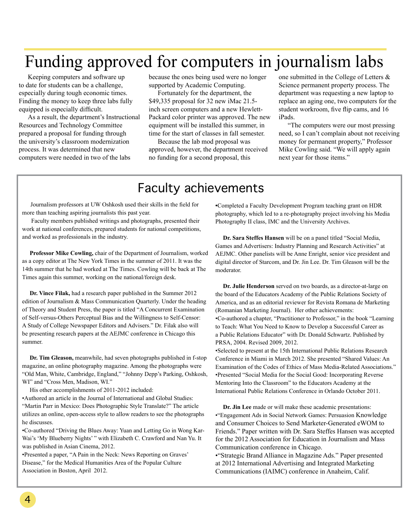### Funding approved for computers in journalism labs

Keeping computers and software up to date for students can be a challenge, especially during tough economic times. Finding the money to keep three labs fully equipped is especially difficult.

As a result, the department's Instructional Resources and Technology Committee prepared a proposal for funding through the university's classroom modernization process. It was determined that new computers were needed in two of the labs

because the ones being used were no longer supported by Academic Computing.

Fortunately for the department, the \$49,335 proposal for 32 new iMac 21.5 inch screen computers and a new Hewlett-Packard color printer was approved. The new equipment will be installed this summer, in time for the start of classes in fall semester.

Because the lab mod proposal was approved, however, the department received no funding for a second proposal, this

one submitted in the College of Letters & Science permanent property process. The department was requesting a new laptop to replace an aging one, two computers for the student workroom, five flip cams, and 16 iPads.

"The computers were our most pressing need, so I can't complain about not receiving money for permanent property," Professor Mike Cowling said. "We will apply again next year for those items."

### Faculty achievements

 Journalism professors at UW Oshkosh used their skills in the field for more than teaching aspiring journalists this past year.

 Faculty members published writings and photographs, presented their work at national conferences, prepared students for national competitions, and worked as professionals in the industry.

 **Professor Mike Cowling,** chair of the Department of Journalism, worked as a copy editor at The New York Times in the summer of 2011. It was the 14th summer that he had worked at The Times. Cowling will be back at The Times again this summer, working on the national/foreign desk.

 **Dr. Vince Filak,** had a research paper published in the Summer 2012 edition of Journalism & Mass Communication Quarterly. Under the heading of Theory and Student Press, the paper is titled "A Concurrent Examination of Self-versus-Others Perceptual Bias and the Willingness to Self-Censor: A Study of College Newspaper Editors and Advisers." Dr. Filak also will be presenting research papers at the AEJMC conference in Chicago this summer.

 **Dr. Tim Gleason,** meanwhile, had seven photographs published in f-stop magazine, an online photography magazine. Among the photographs were "Old Man, White, Cambridge, England," "Johnny Depp's Parking, Oshkosh, WI" and "Cross Men, Madison, WI."

His other accomplishments of 2011-2012 included:

•Authored an article in the Journal of International and Global Studies: "Martin Parr in Mexico: Does Photographic Style Translate?" The article utilizes an online, open-access style to allow readers to see the photographs he discusses.

•Co-authored "Driving the Blues Away: Yuan and Letting Go in Wong Kar-Wai's 'My Blueberry Nights' " with Elizabeth C. Crawford and Nan Yu. It was published in Asian Cinema, 2012.

•Presented a paper, "A Pain in the Neck: News Reporting on Graves' Disease," for the Medical Humanities Area of the Popular Culture Association in Boston, April 2012.

**•**Completed a Faculty Development Program teaching grant on HDR photography, which led to a re-photography project involving his Media Photography II class, IMC and the University Archives.

 **Dr. Sara Steffes Hansen** will be on a panel titled "Social Media, Games and Advertisers: Industry Planning and Research Activities" at AEJMC. Other panelists will be Anne Enright, senior vice president and digital director of Starcom, and Dr. Jin Lee. Dr. Tim Gleason will be the moderator.

 **Dr. Julie Henderson** served on two boards, as a director-at-large on the board of the Educators Academy of the Public Relations Society of America, and as an editorial reviewer for Revista Romana de Marketing (Romanian Marketing Journal). Her other achievements: •Co-authored a chapter, "Practitioner to Professor," in the book "Learning to Teach: What You Need to Know to Develop a Successful Career as a Public Relations Educator" with Dr. Donald Schwartz. Published by PRSA, 2004. Revised 2009, 2012.

•Selected to present at the 15th International Public Relations Research Conference in Miami in March 2012. She presented "Shared Values: An Examination of the Codes of Ethics of Mass Media-Related Associations." •Presented "Social Media for the Social Good: Incorporating Reverse Mentoring Into the Classroom" to the Educators Academy at the International Public Relations Conference in Orlando October 2011.

 **Dr. Jin Lee** made or will make these academic presentations: •"Engagement Ads in Social Network Games: Persuasion Knowledge and Consumer Choices to Send Marketer-Generated eWOM to Friends." Paper written with Dr. Sara Steffes Hansen was accepted for the 2012 Association for Education in Journalism and Mass Communication conference in Chicago.

•"Strategic Brand Alliance in Magazine Ads." Paper presented at 2012 International Advertising and Integrated Marketing Communications (IAIMC) conference in Anaheim, Calif.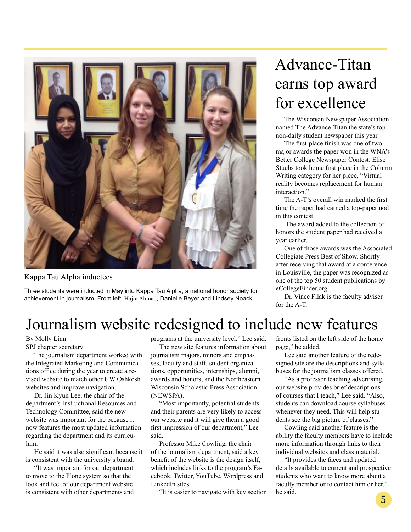

Kappa Tau Alpha inductees

Three students were inducted in May into Kappa Tau Alpha, a national honor society for achievement in journalism. From left, Hajra Ahmad, Danielle Beyer and Lindsey Noack.

## Advance-Titan earns top award for excellence

 The Wisconsin Newspaper Association named The Advance-Titan the state's top non-daily student newspaper this year.

 The first-place finish was one of two major awards the paper won in the WNA's Better College Newspaper Contest. Elise Stuebs took home first place in the Column Writing category for her piece, "Virtual reality becomes replacement for human interaction."

 The A-T's overall win marked the first time the paper had earned a top-paper nod in this contest.

 The award added to the collection of honors the student paper had received a year earlier.

 One of those awards was the Associated Collegiate Press Best of Show. Shortly after receiving that award at a conference in Louisville, the paper was recognized as one of the top 50 student publications by eCollegeFinder.org.

 Dr. Vince Filak is the faculty adviser for the A-T.

### Journalism website redesigned to include new features

#### By Molly Linn SPJ chapter secretary

 The journalism department worked with the Integrated Marketing and Communications office during the year to create a revised website to match other UW Oshkosh websites and improve navigation.

 Dr. Jin Kyun Lee, the chair of the department's Instructional Resources and Technology Committee, said the new website was important for the because it now features the most updated information regarding the department and its curriculum.

 He said it was also significant because it is consistent with the university's brand.

 "It was important for our department to move to the Plone system so that the look and feel of our department website is consistent with other departments and programs at the university level," Lee said.

 The new site features information about journalism majors, minors and emphases, faculty and staff, student organizations, opportunities, internships, alumni, awards and honors, and the Northeastern Wisconsin Scholastic Press Association (NEWSPA).

 "Most importantly, potential students and their parents are very likely to access our website and it will give them a good first impression of our department," Lee said.

 Professor Mike Cowling, the chair of the journalism department, said a key benefit of the website is the design itself, which includes links to the program's Facebook, Twitter, YouTube, Wordpress and LinkedIn sites.

"It is easier to navigate with key section

fronts listed on the left side of the home page," he added.

 Lee said another feature of the redesigned site are the descriptions and syllabuses for the journalism classes offered.

 "As a professor teaching advertising, our website provides brief descriptions of courses that I teach," Lee said. "Also, students can download course syllabuses whenever they need. This will help students see the big picture of classes."

 Cowling said another feature is the ability the faculty members have to include more information through links to their individual websites and class material.

 "It provides the faces and updated details available to current and prospective students who want to know more about a faculty member or to contact him or her," he said.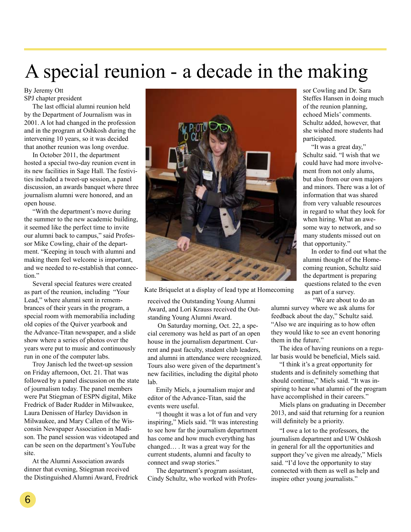## A special reunion - a decade in the making

By Jeremy Ott SPJ chapter president

 The last official alumni reunion held by the Department of Journalism was in 2001. A lot had changed in the profession and in the program at Oshkosh during the intervening 10 years, so it was decided that another reunion was long overdue.

 In October 2011, the department hosted a special two-day reunion event in its new facilities in Sage Hall. The festivities included a tweet-up session, a panel discussion, an awards banquet where three journalism alumni were honored, and an open house.

 "With the department's move during the summer to the new academic building, it seemed like the perfect time to invite our alumni back to campus," said Professor Mike Cowling, chair of the department. "Keeping in touch with alumni and making them feel welcome is important, and we needed to re-establish that connection"

 Several special features were created as part of the reunion, including "Your Lead," where alumni sent in remembrances of their years in the program, a special room with memorabilia including old copies of the Quiver yearbook and the Advance-Titan newspaper, and a slide show where a series of photos over the years were put to music and continuously run in one of the computer labs.

 Troy Janisch led the tweet-up session on Friday afternoon, Oct. 21. That was followed by a panel discussion on the state of journalism today. The panel members were Pat Stiegman of ESPN digital, Mike Fredrick of Bader Rudder in Milwaukee, Laura Denissen of Harley Davidson in Milwaukee, and Mary Callen of the Wisconsin Newspaper Association in Madison. The panel session was videotaped and can be seen on the department's YouTube site.

 At the Alumni Association awards dinner that evening, Stiegman received the Distinguished Alumni Award, Fredrick



Kate Briquelet at a display of lead type at Homecoming

received the Outstanding Young Alumni Award, and Lori Krauss received the Outstanding Young Alumni Award.

 On Saturday morning, Oct. 22, a special ceremony was held as part of an open house in the journalism department. Current and past faculty, student club leaders, and alumni in attendance were recognized. Tours also were given of the department's new facilities, including the digital photo lab.

 Emily Miels, a journalism major and editor of the Advance-Titan, said the events were useful.

 "I thought it was a lot of fun and very inspiring," Miels said. "It was interesting to see how far the journalism department has come and how much everything has changed… . It was a great way for the current students, alumni and faculty to connect and swap stories."

 The department's program assistant, Cindy Schultz, who worked with Professor Cowling and Dr. Sara Steffes Hansen in doing much of the reunion planning, echoed Miels' comments. Schultz added, however, that she wished more students had participated.

 "It was a great day," Schultz said. "I wish that we could have had more involvement from not only alums, but also from our own majors and minors. There was a lot of information that was shared from very valuable resources in regard to what they look for when hiring. What an awesome way to network, and so many students missed out on that opportunity."

 In order to find out what the alumni thought of the Homecoming reunion, Schultz said the department is preparing questions related to the even as part of a survey.

 "We are about to do an alumni survey where we ask alums for feedback about the day," Schultz said.

"Also we are inquiring as to how often they would like to see an event honoring them in the future."

 The idea of having reunions on a regular basis would be beneficial, Miels said.

 "I think it's a great opportunity for students and is definitely something that should continue," Miels said. "It was inspiring to hear what alumni of the program have accomplished in their careers."

 Miels plans on graduating in December 2013, and said that returning for a reunion will definitely be a priority.

 "I owe a lot to the professors, the journalism department and UW Oshkosh in general for all the opportunities and support they've given me already," Miels said. "I'd love the opportunity to stay connected with them as well as help and inspire other young journalists."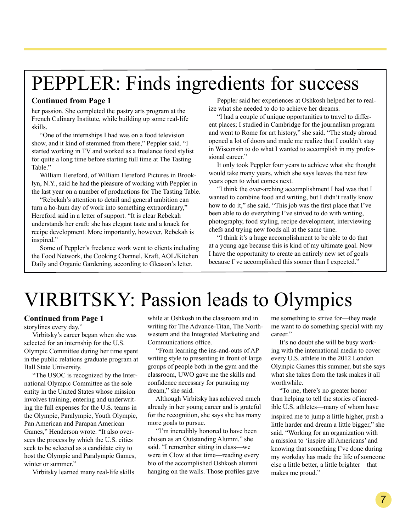## PEPPLER: Finds ingredients for success

#### **Continued from Page 1**

her passion. She completed the pastry arts program at the French Culinary Institute, while building up some real-life skills.

 "One of the internships I had was on a food television show, and it kind of stemmed from there," Peppler said. "I started working in TV and worked as a freelance food stylist for quite a long time before starting full time at The Tasting Table."

 William Hereford, of William Hereford Pictures in Brooklyn, N.Y., said he had the pleasure of working with Peppler in the last year on a number of productions for The Tasting Table.

 "Rebekah's attention to detail and general ambition can turn a ho-hum day of work into something extraordinary," Hereford said in a letter of support. "It is clear Rebekah understands her craft: she has elegant taste and a knack for recipe development. More importantly, however, Rebekah is inspired."

 Some of Peppler's freelance work went to clients including the Food Network, the Cooking Channel, Kraft, AOL/Kitchen Daily and Organic Gardening, according to Gleason's letter.

 Peppler said her experiences at Oshkosh helped her to realize what she needed to do to achieve her dreams.

 "I had a couple of unique opportunities to travel to different places; I studied in Cambridge for the journalism program and went to Rome for art history," she said. "The study abroad opened a lot of doors and made me realize that I couldn't stay in Wisconsin to do what I wanted to accomplish in my professional career."

 It only took Peppler four years to achieve what she thought would take many years, which she says leaves the next few years open to what comes next.

 "I think the over-arching accomplishment I had was that I wanted to combine food and writing, but I didn't really know how to do it," she said. "This job was the first place that I've been able to do everything I've strived to do with writing, photography, food styling, recipe development, interviewing chefs and trying new foods all at the same time.

 "I think it's a huge accomplishment to be able to do that at a young age because this is kind of my ultimate goal. Now I have the opportunity to create an entirely new set of goals because I've accomplished this sooner than I expected."

## VIRBITSKY: Passion leads to Olympics

#### **Continued from Page 1**

storylines every day."

 Virbitsky's career began when she was selected for an internship for the U.S. Olympic Committee during her time spent in the public relations graduate program at Ball State University.

 "The USOC is recognized by the International Olympic Committee as the sole entity in the United States whose mission involves training, entering and underwriting the full expenses for the U.S. teams in the Olympic, Paralympic, Youth Olympic, Pan American and Parapan American Games," Henderson wrote. "It also oversees the process by which the U.S. cities seek to be selected as a candidate city to host the Olympic and Paralympic Games, winter or summer."

Virbitsky learned many real-life skills

while at Oshkosh in the classroom and in writing for The Advance-Titan, The Northwestern and the Integrated Marketing and Communications office.

 "From learning the ins-and-outs of AP writing style to presenting in front of large groups of people both in the gym and the classroom, UWO gave me the skills and confidence necessary for pursuing my dream," she said.

 Although Virbitsky has achieved much already in her young career and is grateful for the recognition, she says she has many more goals to pursue.

 "I'm incredibly honored to have been chosen as an Outstanding Alumni," she said. "I remember sitting in class—we were in Clow at that time—reading every bio of the accomplished Oshkosh alumni hanging on the walls. Those profiles gave me something to strive for—they made me want to do something special with my career."

 It's no doubt she will be busy working with the international media to cover every U.S. athlete in the 2012 London Olympic Games this summer, but she says what she takes from the task makes it all worthwhile.

 "To me, there's no greater honor than helping to tell the stories of incredible U.S. athletes—many of whom have inspired me to jump a little higher, push a little harder and dream a little bigger," she said. "Working for an organization with a mission to 'inspire all Americans' and knowing that something I've done during my workday has made the life of someone else a little better, a little brighter—that makes me proud."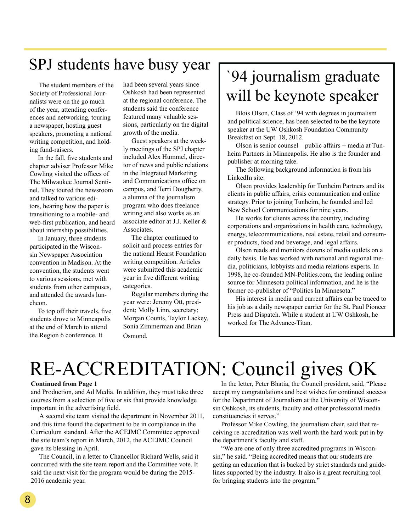## SPJ students have busy year  $\sqrt{94}$  journalism graduate

 The student members of the Society of Professional Journalists were on the go much of the year, attending conferences and networking, touring a newspaper, hosting guest speakers, promoting a national writing competition, and holding fund-raisers.

 In the fall, five students and chapter adviser Professor Mike Cowling visited the offices of The Milwaukee Journal Sentinel. They toured the newsroom and talked to various editors, hearing how the paper is transitioning to a mobile- and web-first publication, and heard about internship possibilities.

 In January, three students participated in the Wisconsin Newspaper Association convention in Madison. At the convention, the students went to various sessions, met with students from other campuses, and attended the awards luncheon.

 To top off their travels, five students drove to Minneapolis at the end of March to attend the Region 6 conference. It

had been several years since Oshkosh had been represented at the regional conference. The students said the conference featured many valuable sessions, particularly on the digital growth of the media.

 Guest speakers at the weekly meetings of the SPJ chapter included Alex Hummel, director of news and public relations in the Integrated Marketing and Communications office on campus, and Terri Dougherty, a alumna of the journalism program who does freelance writing and also works as an associate editor at J.J. Keller & **Associates** 

 The chapter continued to solicit and process entries for the national Hearst Foundation writing competition. Articles were submitted this academic year in five different writing categories.

 Regular members during the year were: Jeremy Ott, president; Molly Linn, secretary; Morgan Counts, Taylor Lackey, Sonia Zimmerman and Brian Osmond.

# will be keynote speaker

 Blois Olson, Class of '94 with degrees in journalism and political science, has been selected to be the keynote speaker at the UW Oshkosh Foundation Community Breakfast on Sept. 18, 2012.

 Olson is senior counsel—public affairs + media at Tunheim Partners in Minneapolis. He also is the founder and publisher at morning take.

 The following background information is from his LinkedIn site:

 Olson provides leadership for Tunheim Partners and its clients in public affairs, crisis communication and online strategy. Prior to joining Tunheim, he founded and led New School Communications for nine years.

 He works for clients across the country, including corporations and organizations in health care, technology, energy, telecommunications, real estate, retail and consumer products, food and beverage, and legal affairs.

 Olson reads and monitors dozens of media outlets on a daily basis. He has worked with national and regional media, politicians, lobbyists and media relations experts. In 1998, he co-founded MN-Politics.com, the leading online source for Minnesota political information, and he is the former co-publisher of "Politics In Minnesota."

 His interest in media and current affairs can be traced to his job as a daily newspaper carrier for the St. Paul Pioneer Press and Dispatch. While a student at UW Oshkosh, he worked for The Advance-Titan.

## RE-ACCREDITATION: Council gives OK

#### **Continued from Page 1**

and Production, and Ad Media. In addition, they must take three courses from a selection of five or six that provide knowledge important in the advertising field.

A second site team visited the department in November 2011, and this time found the department to be in compliance in the Curriculum standard. After the ACEJMC Committee approved the site team's report in March, 2012, the ACEJMC Council gave its blessing in April.

 The Council, in a letter to Chancellor Richard Wells, said it concurred with the site team report and the Committee vote. It said the next visit for the program would be during the 2015- 2016 academic year.

 In the letter, Peter Bhatia, the Council president, said, "Please accept my congratulations and best wishes for continued success for the Department of Journalism at the University of Wisconsin Oshkosh, its students, faculty and other professional media constituencies it serves."

 Professor Mike Cowling, the journalism chair, said that receiving re-accreditation was well worth the hard work put in by the department's faculty and staff.

 "We are one of only three accredited programs in Wisconsin," he said. "Being accredited means that our students are getting an education that is backed by strict standards and guidelines supported by the industry. It also is a great recruiting tool for bringing students into the program."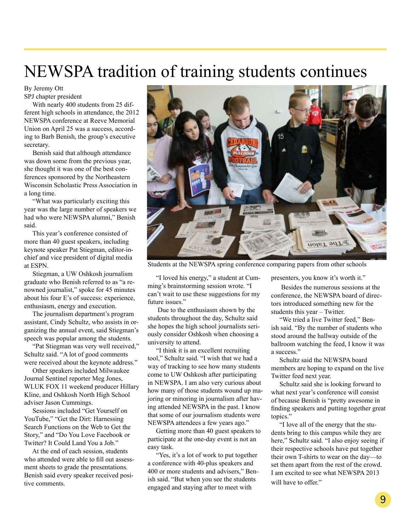## NEWSPA tradition of training students continues

By Jeremy Ott SPJ chapter president

 With nearly 400 students from 25 different high schools in attendance, the 2012 NEWSPA conference at Reeve Memorial Union on April 25 was a success, according to Barb Benish, the group's executive secretary.

 Benish said that although attendance was down some from the previous year, she thought it was one of the best conferences sponsored by the Northeastern Wisconsin Scholastic Press Association in a long time.

 "What was particularly exciting this year was the large number of speakers we had who were NEWSPA alumni," Benish said.

 This year's conference consisted of more than 40 guest speakers, including keynote speaker Pat Stiegman, editor-inchief and vice president of digital media at ESPN.

 Stiegman, a UW Oshkosh journalism graduate who Benish referred to as "a renowned journalist," spoke for 45 minutes about his four E's of success: experience, enthusiasm, energy and execution.

 The journalism department's program assistant, Cindy Schultz, who assists in organizing the annual event, said Stiegman's speech was popular among the students.

 "Pat Stiegman was very well received," Schultz said. "A lot of good comments were received about the keynote address."

 Other speakers included Milwaukee Journal Sentinel reporter Meg Jones, WLUK FOX 11 weekend producer Hillary Kline, and Oshkosh North High School adviser Jason Cummings.

 Sessions included "Get Yourself on YouTube," "Get the Dirt: Harnessing Search Functions on the Web to Get the Story," and "Do You Love Facebook or Twitter? It Could Land You a Job."

 At the end of each session, students who attended were able to fill out assessment sheets to grade the presentations. Benish said every speaker received positive comments.



Students at the NEWSPA spring conference comparing papers from other schools

 "I loved his energy," a student at Cumming's brainstorming session wrote. "I can't wait to use these suggestions for my future issues."

 Due to the enthusiasm shown by the students throughout the day, Schultz said she hopes the high school journalists seriously consider Oshkosh when choosing a university to attend.

 "I think it is an excellent recruiting tool," Schultz said. "I wish that we had a way of tracking to see how many students come to UW Oshkosh after participating in NEWSPA. I am also very curious about how many of those students wound up majoring or minoring in journalism after having attended NEWSPA in the past. I know that some of our journalism students were NEWSPA attendees a few years ago."

 Getting more than 40 guest speakers to participate at the one-day event is not an easy task.

 "Yes, it's a lot of work to put together a conference with 40-plus speakers and 400 or more students and advisers," Benish said. "But when you see the students engaged and staying after to meet with

presenters, you know it's worth it."

 Besides the numerous sessions at the conference, the NEWSPA board of directors introduced something new for the students this year – Twitter.

 "We tried a live Twitter feed," Benish said. "By the number of students who stood around the hallway outside of the ballroom watching the feed, I know it was a success."

 Schultz said the NEWSPA board members are hoping to expand on the live Twitter feed next year.

 Schultz said she is looking forward to what next year's conference will consist of because Benish is "pretty awesome in finding speakers and putting together great topics."

 "I love all of the energy that the students bring to this campus while they are here," Schultz said. "I also enjoy seeing if their respective schools have put together their own T-shirts to wear on the day—to set them apart from the rest of the crowd. I am excited to see what NEWSPA 2013 will have to offer."